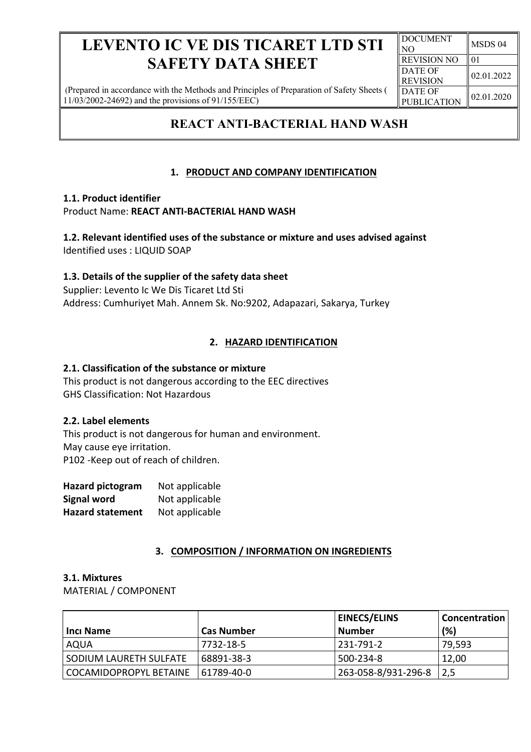(Prepared in accordance with the Methods and Principles of Preparation of Safety Sheets ( 11/03/2002-24692) and the provisions of 91/155/EEC)

## **REACT ANTI-BACTERIAL HAND WASH**

## **1. PRODUCT AND COMPANY IDENTIFICATION**

## **1.1. Product identifier**

Product Name: **REACT ANTI-BACTERIAL HAND WASH**

**1.2. Relevant identified uses of the substance or mixture and uses advised against** Identified uses : LIQUID SOAP

## **1.3. Details of the supplier of the safety data sheet**

Supplier: Levento Ic We Dis Ticaret Ltd Sti Address: Cumhuriyet Mah. Annem Sk. No:9202, Adapazari, Sakarya, Turkey

## **2. HAZARD IDENTIFICATION**

## **2.1. Classification of the substance or mixture**

This product is not dangerous according to the EEC directives GHS Classification: Not Hazardous

## **2.2. Label elements**

This product is not dangerous for human and environment. May cause eye irritation. P102 -Keep out of reach of children.

| <b>Hazard pictogram</b> | Not applicable |
|-------------------------|----------------|
| <b>Signal word</b>      | Not applicable |
| <b>Hazard statement</b> | Not applicable |

## **3. COMPOSITION / INFORMATION ON INGREDIENTS**

#### **3.1. Mixtures** MATERIAL / COMPONENT

|                          |                   | <b>EINECS/ELINS</b> | Concentration |
|--------------------------|-------------------|---------------------|---------------|
| <b>Inci Name</b>         | <b>Cas Number</b> | l Number            | (%)           |
| AQUA                     | 7732-18-5         | 231-791-2           | 79,593        |
| SODIUM LAURETH SULFATE   | 68891-38-3        | 500-234-8           | 12,00         |
| I COCAMIDOPROPYL BETAINE | 61789-40-0        | 263-058-8/931-296-8 | 2,5           |

| <b>DOCUMENT</b><br>NО | MSDS 04    |
|-----------------------|------------|
| <b>REVISION NO</b>    | 01         |
| <b>DATE OF</b>        | 02.01.2022 |
| <b>REVISION</b>       |            |
| DATE OF               | 02.01.2020 |
| <b>PUBLICATION</b>    |            |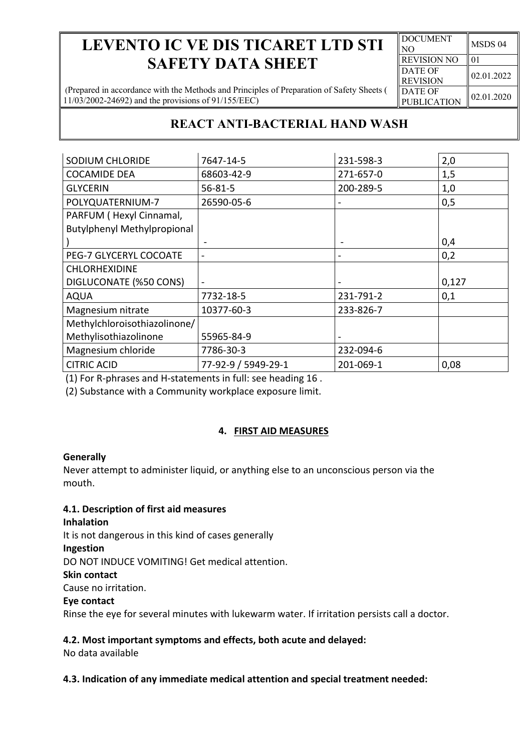| <b>DOCUMENT</b><br>NO | MSDS 04    |
|-----------------------|------------|
| <b>REVISION NO</b>    | 01         |
| <b>DATE OF</b>        | 02.01.2022 |
| <b>REVISION</b>       |            |
| <b>DATE OF</b>        | 02.01.2020 |
| <b>PUBLICATION</b>    |            |

(Prepared in accordance with the Methods and Principles of Preparation of Safety Sheets ( 11/03/2002-24692) and the provisions of 91/155/EEC)

## **REACT ANTI-BACTERIAL HAND WASH**

| SODIUM CHLORIDE                    | 7647-14-5           | 231-598-3                    | 2,0   |
|------------------------------------|---------------------|------------------------------|-------|
| <b>COCAMIDE DEA</b>                | 68603-42-9          | 271-657-0                    | 1,5   |
| <b>GLYCERIN</b>                    | $56 - 81 - 5$       | 200-289-5                    | 1,0   |
| POLYQUATERNIUM-7                   | 26590-05-6          | $\hbox{ }$                   | 0,5   |
| PARFUM (Hexyl Cinnamal,            |                     |                              |       |
| <b>Butylphenyl Methylpropional</b> |                     |                              |       |
|                                    |                     |                              | 0,4   |
| PEG-7 GLYCERYL COCOATE             |                     | $\qquad \qquad \blacksquare$ | 0,2   |
| <b>CHLORHEXIDINE</b>               |                     |                              |       |
| DIGLUCONATE (%50 CONS)             |                     |                              | 0,127 |
| <b>AQUA</b>                        | 7732-18-5           | 231-791-2                    | 0,1   |
| Magnesium nitrate                  | 10377-60-3          | 233-826-7                    |       |
| Methylchloroisothiazolinone/       |                     |                              |       |
| Methylisothiazolinone              | 55965-84-9          |                              |       |
| Magnesium chloride                 | 7786-30-3           | 232-094-6                    |       |
| <b>CITRIC ACID</b>                 | 77-92-9 / 5949-29-1 | 201-069-1                    | 0,08  |

(1) For R-phrases and H-statements in full: see heading 16 .

(2) Substance with a Community workplace exposure limit.

## **4. FIRST AID MEASURES**

## **Generally**

Never attempt to administer liquid, or anything else to an unconscious person via the mouth.

## **4.1. Description of first aid measures**

**Inhalation** It is not dangerous in this kind of cases generally **Ingestion** DO NOT INDUCE VOMITING! Get medical attention. **Skin contact** Cause no irritation. **Eye contact** Rinse the eye for several minutes with lukewarm water. If irritation persists call a doctor.

## **4.2. Most important symptoms and effects, both acute and delayed:**

No data available

## **4.3. Indication of any immediate medical attention and special treatment needed:**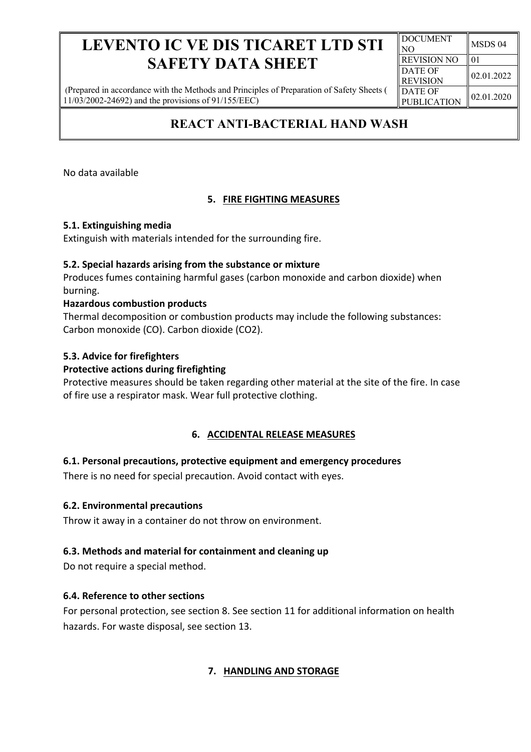(Prepared in accordance with the Methods and Principles of Preparation of Safety Sheets ( 11/03/2002-24692) and the provisions of 91/155/EEC)

## **REACT ANTI-BACTERIAL HAND WASH**

No data available

## **5. FIRE FIGHTING MEASURES**

## **5.1. Extinguishing media**

Extinguish with materials intended for the surrounding fire.

## **5.2. Special hazards arising from the substance or mixture**

Produces fumes containing harmful gases (carbon monoxide and carbon dioxide) when burning.

## **Hazardous combustion products**

Thermal decomposition or combustion products may include the following substances: Carbon monoxide (CO). Carbon dioxide (CO2).

## **5.3. Advice for firefighters**

## **Protective actions during firefighting**

Protective measures should be taken regarding other material at the site of the fire. In case of fire use a respirator mask. Wear full protective clothing.

## **6. ACCIDENTAL RELEASE MEASURES**

## **6.1. Personal precautions, protective equipment and emergency procedures**

There is no need for special precaution. Avoid contact with eyes.

## **6.2. Environmental precautions**

Throw it away in a container do not throw on environment.

## **6.3. Methods and material for containment and cleaning up**

Do not require a special method.

## **6.4. Reference to other sections**

For personal protection, see section 8. See section 11 for additional information on health hazards. For waste disposal, see section 13.

## **7. HANDLING AND STORAGE**

DOCUMENT  $\begin{array}{cc}\n\text{NOD} & \text{MSDS} & 04 \\
\text{NOD} & \text{MSDS} & \text{MSDS}\n\end{array}$ REVISION NO 01 DATE OF REVISION  $\|02.01.2022$ DATE OF PUBLICATION  $\left| \begin{array}{c} 02.01.2020 \end{array} \right|$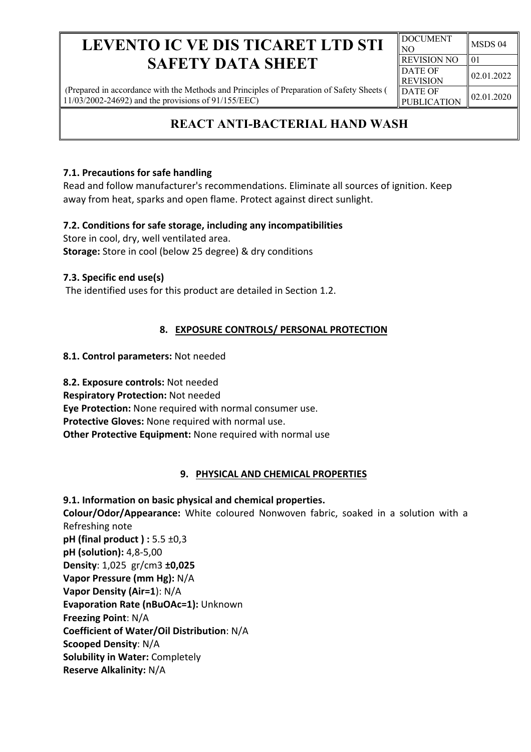(Prepared in accordance with the Methods and Principles of Preparation of Safety Sheets ( 11/03/2002-24692) and the provisions of 91/155/EEC)

#### DOCUMENT  $\begin{array}{cc}\n\text{NOD} & \text{MSDS} & 04 \\
\text{NOD} & \text{MSDS} & \text{MSDS}\n\end{array}$ REVISION NO  $\parallel$  01 DATE OF REVISION  $\|02.01.2022$ DATE OF PUBLICATION  $\left| \begin{array}{c} 02.01.2020 \end{array} \right|$

## **REACT ANTI-BACTERIAL HAND WASH**

## **7.1. Precautions for safe handling**

Read and follow manufacturer's recommendations. Eliminate all sources of ignition. Keep away from heat, sparks and open flame. Protect against direct sunlight.

## **7.2. Conditions for safe storage, including any incompatibilities**

Store in cool, dry, well ventilated area. **Storage:** Store in cool (below 25 degree) & dry conditions

## **7.3. Specific end use(s)**

The identified uses for this product are detailed in Section 1.2.

## **8. EXPOSURE CONTROLS/ PERSONAL PROTECTION**

## **8.1. Control parameters:** Not needed

**8.2. Exposure controls:** Not needed **Respiratory Protection:** Not needed **Eye Protection:** None required with normal consumer use. **Protective Gloves:** None required with normal use. **Other Protective Equipment:** None required with normal use

## **9. PHYSICAL AND CHEMICAL PROPERTIES**

**9.1. Information on basic physical and chemical properties. Colour/Odor/Appearance:** White coloured Nonwoven fabric, soaked in a solution with a Refreshing note **pH (final product ) :** 5.5 ±0,3 **pH (solution):** 4,8-5,00 **Density**: 1,025 gr/cm3 **±0,025 Vapor Pressure (mm Hg):** N/A **Vapor Density (Air=1**): N/A **Evaporation Rate (nBuOAc=1):** Unknown **Freezing Point**: N/A **Coefficient of Water/Oil Distribution**: N/A **Scooped Density**: N/A **Solubility in Water:** Completely **Reserve Alkalinity:** N/A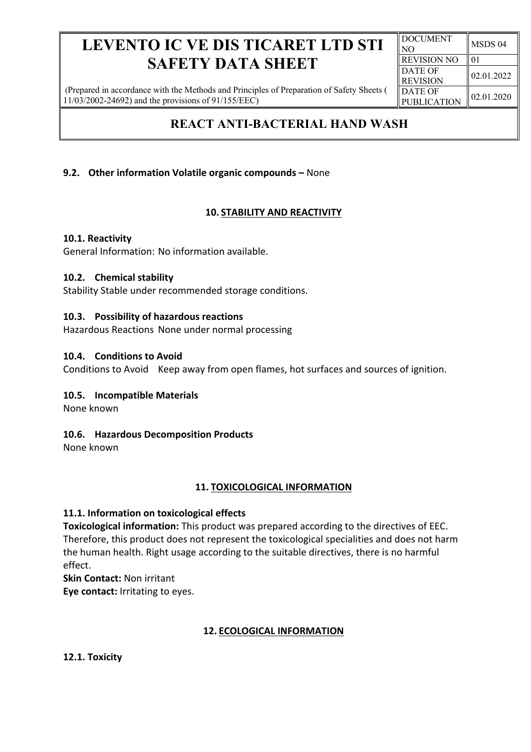(Prepared in accordance with the Methods and Principles of Preparation of Safety Sheets ( 11/03/2002-24692) and the provisions of 91/155/EEC)

## **REACT ANTI-BACTERIAL HAND WASH**

## **9.2. Other information Volatile organic compounds –** None

## **10. STABILITY AND REACTIVITY**

## **10.1. Reactivity**

General Information: No information available.

#### **10.2. Chemical stability**

Stability Stable under recommended storage conditions.

#### **10.3. Possibility of hazardous reactions**

Hazardous Reactions None under normal processing

#### **10.4. Conditions to Avoid**

Conditions to Avoid Keep away from open flames, hot surfaces and sources of ignition.

## **10.5. Incompatible Materials**

None known

## **10.6. Hazardous Decomposition Products**

None known

## **11. TOXICOLOGICAL INFORMATION**

## **11.1. Information on toxicological effects**

**Toxicological information:** This product was prepared according to the directives of EEC. Therefore, this product does not represent the toxicological specialities and does not harm the human health. Right usage according to the suitable directives, there is no harmful effect.

**Skin Contact:** Non irritant

**Eye contact:** Irritating to eyes.

## **12. ECOLOGICAL INFORMATION**

**12.1. Toxicity**

| <b>DOCUMENT</b><br>NО | MSDS 04    |
|-----------------------|------------|
| <b>REVISION NO</b>    | 01         |
| DATE OF               | 02.01.2022 |
| <b>REVISION</b>       |            |
| <b>DATE OF</b>        | 02.01.2020 |
| <b>PUBLICATION</b>    |            |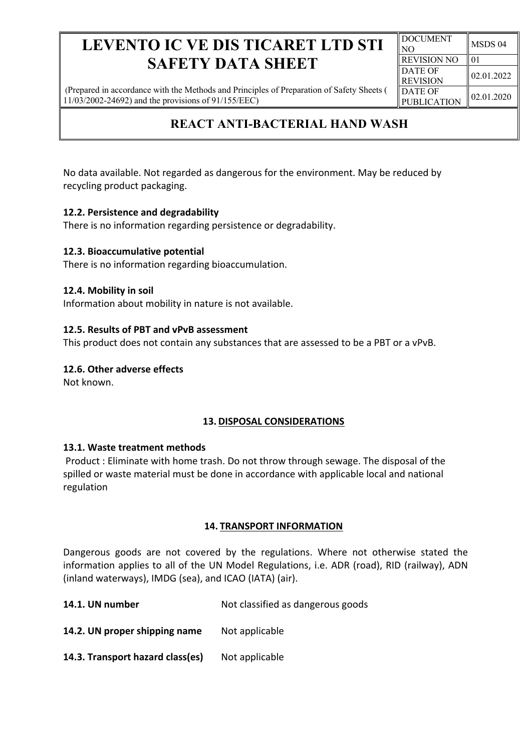(Prepared in accordance with the Methods and Principles of Preparation of Safety Sheets ( 11/03/2002-24692) and the provisions of 91/155/EEC)

## **REACT ANTI-BACTERIAL HAND WASH**

No data available. Not regarded as dangerous for the environment. May be reduced by recycling product packaging.

## **12.2. Persistence and degradability**

There is no information regarding persistence or degradability.

## **12.3. Bioaccumulative potential**

There is no information regarding bioaccumulation.

## **12.4. Mobility in soil**

Information about mobility in nature is not available.

## **12.5. Results of PBT and vPvB assessment**

This product does not contain any substances that are assessed to be a PBT or a vPvB.

## **12.6. Other adverse effects**

Not known.

## **13. DISPOSAL CONSIDERATIONS**

## **13.1. Waste treatment methods**

Product : Eliminate with home trash. Do not throw through sewage. The disposal of the spilled or waste material must be done in accordance with applicable local and national regulation

## **14. TRANSPORT INFORMATION**

Dangerous goods are not covered by the regulations. Where not otherwise stated the information applies to all of the UN Model Regulations, i.e. ADR (road), RID (railway), ADN (inland waterways), IMDG (sea), and ICAO (IATA) (air).

**14.1. UN number** Not classified as dangerous goods

14.2. UN proper shipping name Not applicable

14.3. Transport hazard class(es) Not applicable